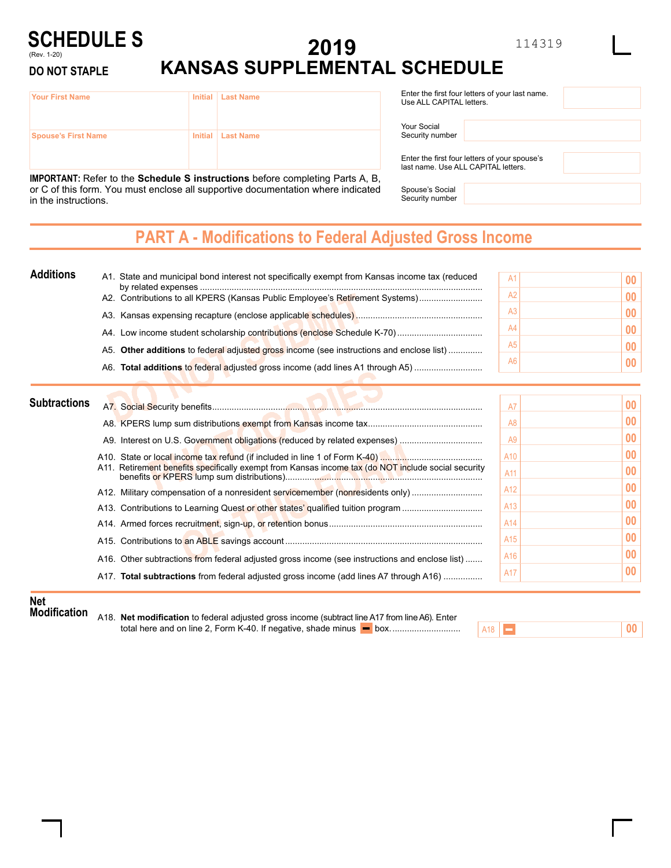#### **SCHEDULE S** (Rev. 1-20)

**DO NOT STAPLE**

# **2019 KANSAS SUPPLEMENTAL SCHEDULE**

114319

| <b>Your First Name</b>     | Initial   Last Name |
|----------------------------|---------------------|
| <b>Spouse's First Name</b> | Initial   Last Name |

**IMPORTANT:** Refer to the **Schedule S instructions** before completing Parts A, B, or C of this form. You must enclose all supportive documentation where indicated in the instructions.

| Enter the first four letters of your last name.<br>Use ALL CAPITAL letters. |  |  |
|-----------------------------------------------------------------------------|--|--|
| Your Social<br>Security number                                              |  |  |

Enter the first four letters of your spouse's last name. Use ALL CAPITAL letters.

Spouse's Social Security number

## **PART A - Modifications to Federal Adjusted Gross Income**

| <b>Additions</b> | A1. State and municipal bond interest not specifically exempt from Kansas income tax (reduced | A1             |    |
|------------------|-----------------------------------------------------------------------------------------------|----------------|----|
|                  | A2. Contributions to all KPERS (Kansas Public Employee's Retirement Systems)                  | A2             | 00 |
|                  |                                                                                               | Α3             |    |
|                  |                                                                                               | A <sub>4</sub> |    |
|                  | A5. Other additions to federal adjusted gross income (see instructions and enclose list)      | A5             |    |
|                  | A6. Total additions to federal adjusted gross income (add lines A1 through A5)                | A <sub>6</sub> |    |

| <b>Subtractions</b> |                                                                                                     | A7              | 00 <sup>°</sup>                    |
|---------------------|-----------------------------------------------------------------------------------------------------|-----------------|------------------------------------|
|                     |                                                                                                     | A <sub>8</sub>  | 00 <sup>°</sup>                    |
|                     |                                                                                                     | A <sub>9</sub>  | $00\,$                             |
|                     | A11. Retirement benefits specifically exempt from Kansas income tax (do NOT include social security | A10<br>A11      | 00 <sup>°</sup><br>00 <sup>°</sup> |
|                     | A12. Military compensation of a nonresident servicemember (nonresidents only)                       | A12             | $00\,$                             |
|                     |                                                                                                     | A13             | 00 <sup>°</sup>                    |
|                     |                                                                                                     | A <sub>14</sub> | $00\,$                             |
|                     |                                                                                                     | A <sub>15</sub> | $00\,$                             |
|                     | A16. Other subtractions from federal adjusted gross income (see instructions and enclose list)      | A <sub>16</sub> | 00 <sub>1</sub>                    |
|                     | A17. Total subtractions from federal adjusted gross income (add lines A7 through A16)               | A17             | $00\,$                             |

#### **Net**

**Modification** A18. **Net modification** to federal adjusted gross income (subtract line A17 from line A6). Enter total here and on line 2, Form K-40. If negative, shade minus box.............................

| $\Delta$ 1.8 | <b>Contract Contract</b> |  |
|--------------|--------------------------|--|